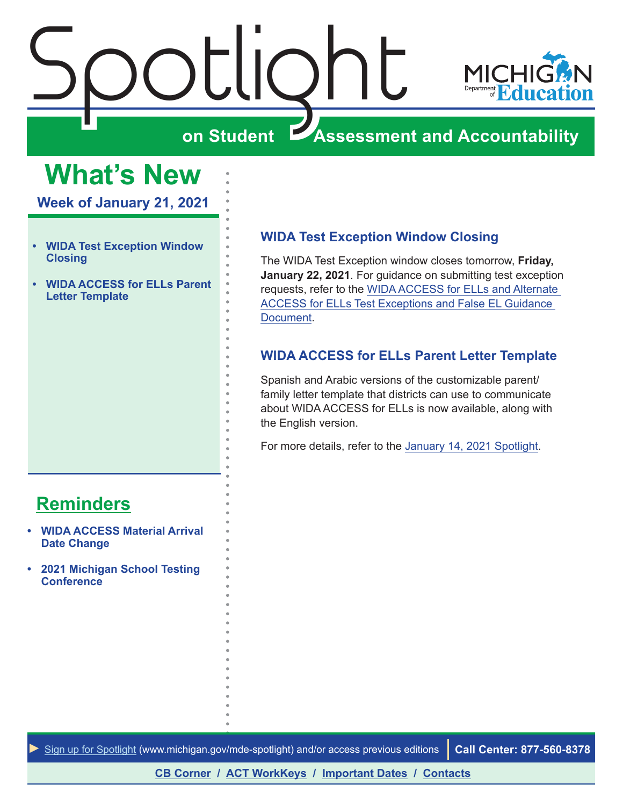<span id="page-0-0"></span>



#### **Assessment and Accountability**

## **What's New**

**Week of January 21, 2021**

- **• WIDA Test Exception Window Closing**
- **• WIDA ACCESS for ELLs Parent Letter Template**

#### **WIDA Test Exception Window Closing**

The WIDA Test Exception window closes tomorrow, **Friday, January 22, 2021**. For guidance on submitting test exception requests, refer to the [WIDA ACCESS for ELLs and Alternate](https://www.michigan.gov/documents/mde/WIDA_False_LEP_Guidance_507305_7.pdf)  [ACCESS for ELLs Test Exceptions and False EL Guidance](https://www.michigan.gov/documents/mde/WIDA_False_LEP_Guidance_507305_7.pdf)  [Document](https://www.michigan.gov/documents/mde/WIDA_False_LEP_Guidance_507305_7.pdf).

#### **WIDA ACCESS for ELLs Parent Letter Template**

Spanish and Arabic versions of the customizable parent/ family letter template that districts can use to communicate about WIDA ACCESS for ELLs is now available, along with the English version.

For more details, refer to the [January 14, 2021 Spotlight](https://www.michigan.gov/documents/mde/Spotlight_1-7-21_712374_7.pdf).

#### **[Reminders](#page-1-0)**

- **• [WIDA ACCESS Material Arrival](#page-1-0)  [Date Change](#page-1-0)**
- **• [2021 Michigan School Testing](#page-1-0)  [Conference](#page-1-0)**

*►* [Sign up for Spotlight](https://public.govdelivery.com/accounts/MIMDE/subscriber/new) ([www.michigan.gov/mde](www.michigan.gov/mde-spotlight)-spotlight) and/or access previous editions **Call Center: 877-560-8378**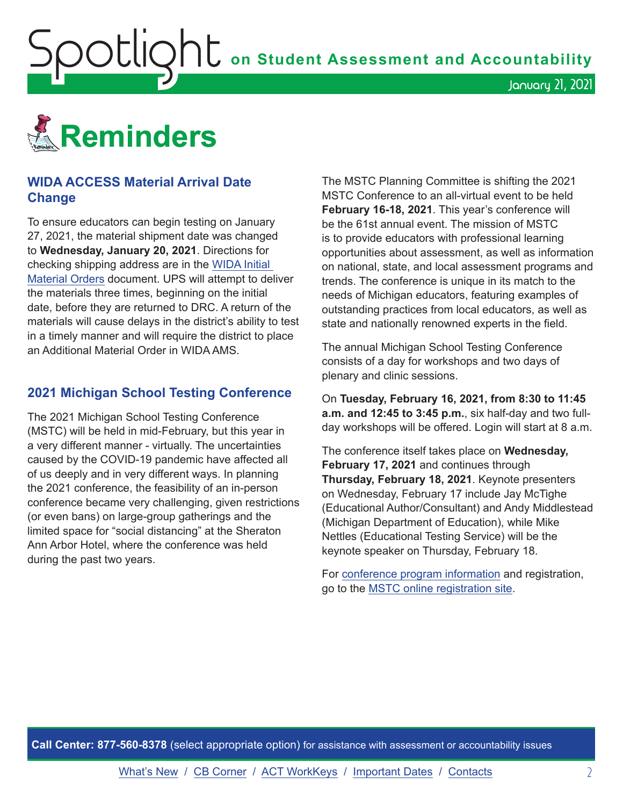<span id="page-1-0"></span>

#### **WIDA ACCESS Material Arrival Date Change**

To ensure educators can begin testing on January 27, 2021, the material shipment date was changed to **Wednesday, January 20, 2021**. Directions for checking shipping address are in the [WIDA Initial](https://www.michigan.gov/documents/mde/WIDA_Initial_Material_Orders-jl_544804_7.pdf)  [Material Orders](https://www.michigan.gov/documents/mde/WIDA_Initial_Material_Orders-jl_544804_7.pdf) document. UPS will attempt to deliver the materials three times, beginning on the initial date, before they are returned to DRC. A return of the materials will cause delays in the district's ability to test in a timely manner and will require the district to place an Additional Material Order in WIDA AMS.

#### **2021 Michigan School Testing Conference**

The 2021 Michigan School Testing Conference (MSTC) will be held in mid-February, but this year in a very different manner - virtually. The uncertainties caused by the COVID-19 pandemic have affected all of us deeply and in very different ways. In planning the 2021 conference, the feasibility of an in-person conference became very challenging, given restrictions (or even bans) on large-group gatherings and the limited space for "social distancing" at the Sheraton Ann Arbor Hotel, where the conference was held during the past two years.

The MSTC Planning Committee is shifting the 2021 MSTC Conference to an all-virtual event to be held **February 16-18, 2021**. This year's conference will be the 61st annual event. The mission of MSTC is to provide educators with professional learning opportunities about assessment, as well as information on national, state, and local assessment programs and trends. The conference is unique in its match to the needs of Michigan educators, featuring examples of outstanding practices from local educators, as well as state and nationally renowned experts in the field.

January 21, 2021

The annual Michigan School Testing Conference consists of a day for workshops and two days of plenary and clinic sessions.

On **Tuesday, February 16, 2021, from 8:30 to 11:45 a.m. and 12:45 to 3:45 p.m.**, six half-day and two fullday workshops will be offered. Login will start at 8 a.m.

The conference itself takes place on **Wednesday, February 17, 2021** and continues through **Thursday, February 18, 2021**. Keynote presenters on Wednesday, February 17 include Jay McTighe (Educational Author/Consultant) and Andy Middlestead (Michigan Department of Education), while Mike Nettles (Educational Testing Service) will be the keynote speaker on Thursday, February 18.

For [conference program information](http://gomasa.org/wp-content/uploads/mstcPromo2021.pdf) and registration, go to the [MSTC online registration site.](http://gomasa.org/mstc2021)

**Call Center: 877-560-8378** (select appropriate option) for assistance with assessment or accountability issues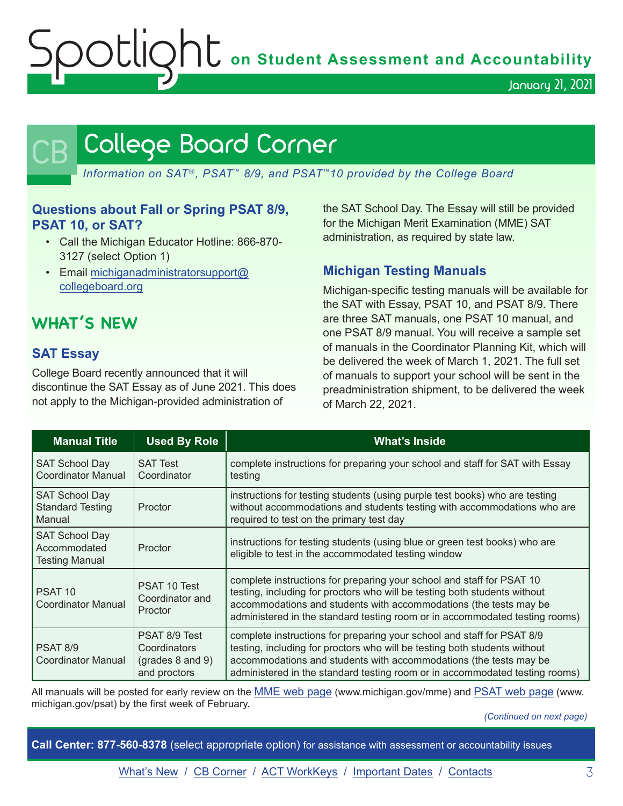OUIQhU on Student Assessment and Accountability

January 21, 2021

## <span id="page-2-0"></span>College Board Corner

*Information on SAT*®*, PSAT*™ *8/9, and PSAT*™*10 provided by the College Board*

#### **Questions about Fall or Spring PSAT 8/9, PSAT 10, or SAT?**

- Call the Michigan Educator Hotline: 866-870- 3127 (select Option 1)
- Email [michiganadministratorsupport@](mailto:michiganadministratorsupport%40collegeboard.org?subject=) [collegeboard.org](mailto:michiganadministratorsupport%40collegeboard.org?subject=)

#### **WHAT'S NEW**

#### **SAT Essay**

College Board recently announced that it will discontinue the SAT Essay as of June 2021. This does not apply to the Michigan-provided administration of

the SAT School Day. The Essay will still be provided for the Michigan Merit Examination (MME) SAT administration, as required by state law.

#### **Michigan Testing Manuals**

Michigan-specific testing manuals will be available for the SAT with Essay, PSAT 10, and PSAT 8/9. There are three SAT manuals, one PSAT 10 manual, and one PSAT 8/9 manual. You will receive a sample set of manuals in the Coordinator Planning Kit, which will be delivered the week of March 1, 2021. The full set of manuals to support your school will be sent in the preadministration shipment, to be delivered the week of March 22, 2021.

| <b>Manual Title</b>                                            | <b>Used By Role</b>                                               | <b>What's Inside</b>                                                                                                                                                                                                                                                                                    |
|----------------------------------------------------------------|-------------------------------------------------------------------|---------------------------------------------------------------------------------------------------------------------------------------------------------------------------------------------------------------------------------------------------------------------------------------------------------|
| <b>SAT School Day</b><br>Coordinator Manual                    | <b>SAT Test</b><br>Coordinator                                    | complete instructions for preparing your school and staff for SAT with Essay<br>testing                                                                                                                                                                                                                 |
| <b>SAT School Day</b><br><b>Standard Testing</b><br>Manual     | Proctor                                                           | instructions for testing students (using purple test books) who are testing<br>without accommodations and students testing with accommodations who are<br>required to test on the primary test day                                                                                                      |
| <b>SAT School Day</b><br>Accommodated<br><b>Testing Manual</b> | Proctor                                                           | instructions for testing students (using blue or green test books) who are<br>eligible to test in the accommodated testing window                                                                                                                                                                       |
| PSAT <sub>10</sub><br>Coordinator Manual                       | PSAT 10 Test<br>Coordinator and<br>Proctor                        | complete instructions for preparing your school and staff for PSAT 10<br>testing, including for proctors who will be testing both students without<br>accommodations and students with accommodations (the tests may be<br>administered in the standard testing room or in accommodated testing rooms)  |
| PSAT 8/9<br>Coordinator Manual                                 | PSAT 8/9 Test<br>Coordinators<br>(grades 8 and 9)<br>and proctors | complete instructions for preparing your school and staff for PSAT 8/9<br>testing, including for proctors who will be testing both students without<br>accommodations and students with accommodations (the tests may be<br>administered in the standard testing room or in accommodated testing rooms) |

All manuals will be posted for early review on the [MME web page](www.michigan.gov/mme) (www.michigan.gov/mme) and [PSAT web page](http://www.michigan.gov/psat) (www. michigan.gov/psat) by the first week of February.

*(Continued on next page)*

**Call Center: 877-560-8378** (select appropriate option) for assistance with assessment or accountability issues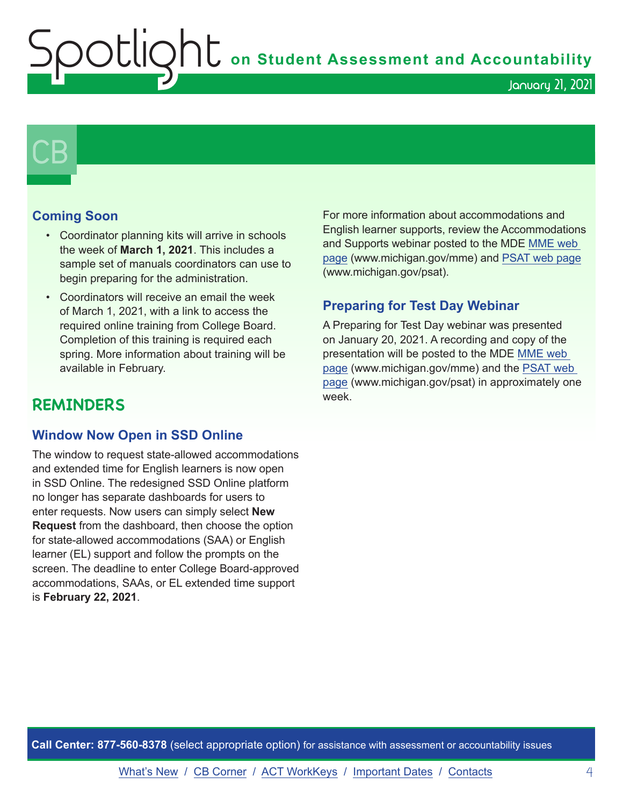**Shums** on Student Assessment and Accountability

## $\mathsf{CB}\mid$

#### **Coming Soon**

- Coordinator planning kits will arrive in schools the week of **March 1, 2021**. This includes a sample set of manuals coordinators can use to begin preparing for the administration.
- Coordinators will receive an email the week of March 1, 2021, with a link to access the required online training from College Board. Completion of this training is required each spring. More information about training will be available in February.

#### **REMINDERS**

#### **Window Now Open in SSD Online**

The window to request state-allowed accommodations and extended time for English learners is now open in SSD Online. The redesigned SSD Online platform no longer has separate dashboards for users to enter requests. Now users can simply select **New Request** from the dashboard, then choose the option for state-allowed accommodations (SAA) or English learner (EL) support and follow the prompts on the screen. The deadline to enter College Board-approved accommodations, SAAs, or EL extended time support is **February 22, 2021**.

For more information about accommodations and English learner supports, review the Accommodations and Supports webinar posted to the MDE [MME web](www.michigan.gov/mme)  [page](www.michigan.gov/mme) (www.michigan.gov/mme) and [PSAT web page](http://www.michigan.gov/psat) (www.michigan.gov/psat).

January 21, 2021

#### **Preparing for Test Day Webinar**

A Preparing for Test Day webinar was presented on January 20, 2021. A recording and copy of the presentation will be posted to the MDE [MME web](www.michigan.gov/mme)  [page](www.michigan.gov/mme) (www.michigan.gov/mme) and the [PSAT web](http://www.michigan.gov/psat)  [page](http://www.michigan.gov/psat) (www.michigan.gov/psat) in approximately one week.

**Call Center: 877-560-8378** (select appropriate option) for assistance with assessment or accountability issues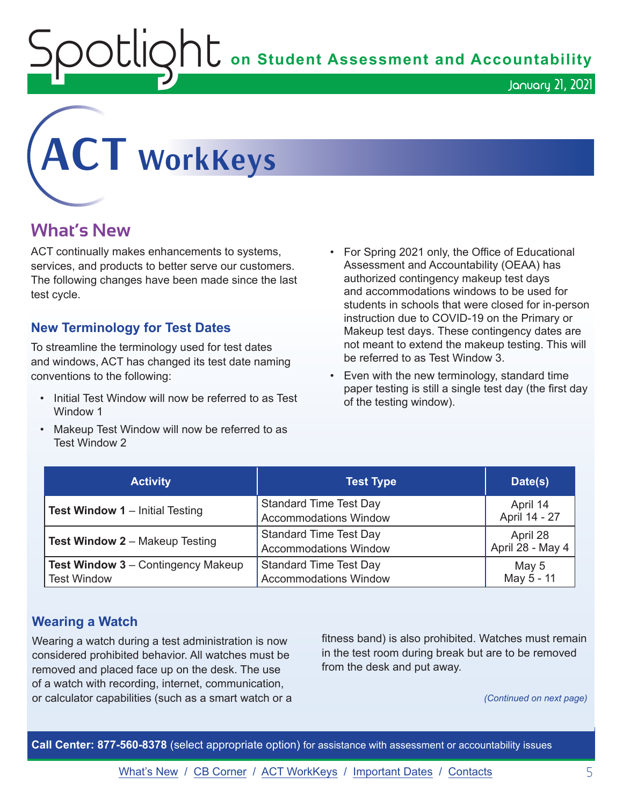**Spotlight Conduct Assessment and Accountability** 



# <span id="page-4-0"></span>**ACT WorkKeys**

#### **What's New**

ACT continually makes enhancements to systems, services, and products to better serve our customers. The following changes have been made since the last test cycle.

#### **New Terminology for Test Dates**

To streamline the terminology used for test dates and windows, ACT has changed its test date naming conventions to the following:

- Initial Test Window will now be referred to as Test Window 1
- Makeup Test Window will now be referred to as Test Window 2
- For Spring 2021 only, the Office of Educational Assessment and Accountability (OEAA) has authorized contingency makeup test days and accommodations windows to be used for students in schools that were closed for in-person instruction due to COVID-19 on the Primary or Makeup test days. These contingency dates are not meant to extend the makeup testing. This will be referred to as Test Window 3.
- Even with the new terminology, standard time paper testing is still a single test day (the first day of the testing window).

| <b>Activity</b>                                                 | <b>Test Type</b>                                              | Date(s)                      |
|-----------------------------------------------------------------|---------------------------------------------------------------|------------------------------|
| <b>Test Window 1</b> – Initial Testing                          | <b>Standard Time Test Day</b><br><b>Accommodations Window</b> | April 14<br>April 14 - 27    |
| <b>Test Window 2 - Makeup Testing</b>                           | <b>Standard Time Test Day</b><br><b>Accommodations Window</b> | April 28<br>April 28 - May 4 |
| <b>Test Window 3 - Contingency Makeup</b><br><b>Test Window</b> | <b>Standard Time Test Day</b><br><b>Accommodations Window</b> | May 5<br>May 5 - 11          |

#### **Wearing a Watch**

Wearing a watch during a test administration is now considered prohibited behavior. All watches must be removed and placed face up on the desk. The use of a watch with recording, internet, communication, or calculator capabilities (such as a smart watch or a fitness band) is also prohibited. Watches must remain in the test room during break but are to be removed from the desk and put away.

*(Continued on next page)*

**Call Center: 877-560-8378** (select appropriate option) for assistance with assessment or accountability issues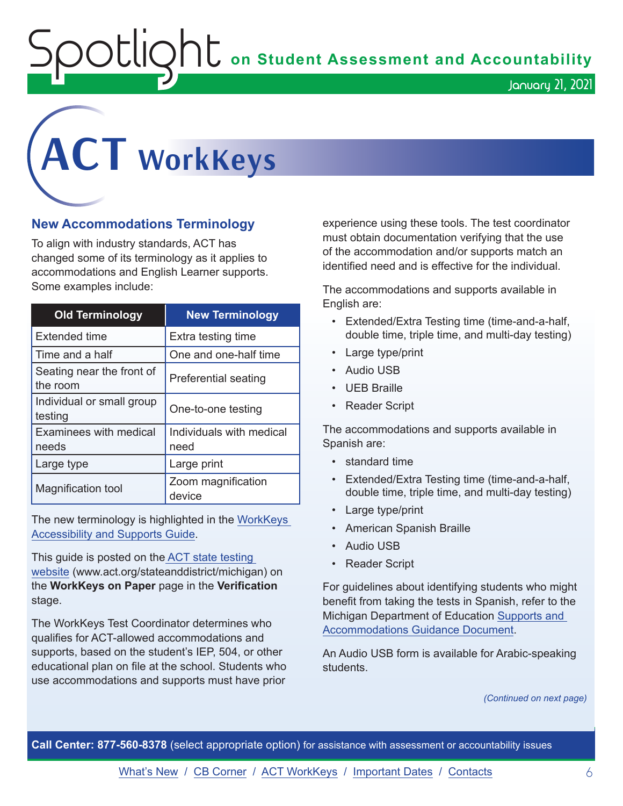OUIQhU on Student Assessment and Accountability

## **ACT WorkKeys**

#### **New Accommodations Terminology**

To align with industry standards, ACT has changed some of its terminology as it applies to accommodations and English Learner supports. Some examples include:

| <b>Old Terminology</b>                | <b>New Terminology</b>           |
|---------------------------------------|----------------------------------|
| Extended time                         | Extra testing time               |
| Time and a half                       | One and one-half time            |
| Seating near the front of<br>the room | <b>Preferential seating</b>      |
| Individual or small group<br>testing  | One-to-one testing               |
| Examinees with medical<br>needs       | Individuals with medical<br>need |
| Large type                            | Large print                      |
| Magnification tool                    | Zoom magnification<br>device     |

The new terminology is highlighted in the [WorkKeys](https://content.act.org/michigan/r/SXj92aCDeWFErKZl~tb9ug/root)  [Accessibility and Supports Guide.](https://content.act.org/michigan/r/SXj92aCDeWFErKZl~tb9ug/root)

This guide is posted on the [ACT state testing](http://www.act.org/stateanddistrict/michigan)  [website](http://www.act.org/stateanddistrict/michigan) (www.act.org/stateanddistrict/michigan) on the **WorkKeys on Paper** page in the **Verification** stage.

The WorkKeys Test Coordinator determines who qualifies for ACT-allowed accommodations and supports, based on the student's IEP, 504, or other educational plan on file at the school. Students who use accommodations and supports must have prior

experience using these tools. The test coordinator must obtain documentation verifying that the use of the accommodation and/or supports match an identified need and is effective for the individual.

The accommodations and supports available in English are:

- Extended/Extra Testing time (time-and-a-half, double time, triple time, and multi-day testing)
- Large type/print
- Audio USB
- UEB Braille
- Reader Script

The accommodations and supports available in Spanish are:

- standard time
- Extended/Extra Testing time (time-and-a-half, double time, triple time, and multi-day testing)
- Large type/print
- American Spanish Braille
- Audio USB
- Reader Script

For guidelines about identifying students who might benefit from taking the tests in Spanish, refer to the Michigan Department of Education [Supports and](https://www.michigan.gov/documents/mde/Michigan_Accommodations_Manual.final_480016_7.pdf)  [Accommodations Guidance Document.](https://www.michigan.gov/documents/mde/Michigan_Accommodations_Manual.final_480016_7.pdf)

An Audio USB form is available for Arabic-speaking students.

*(Continued on next page)*

**Call Center: 877-560-8378** (select appropriate option) for assistance with assessment or accountability issues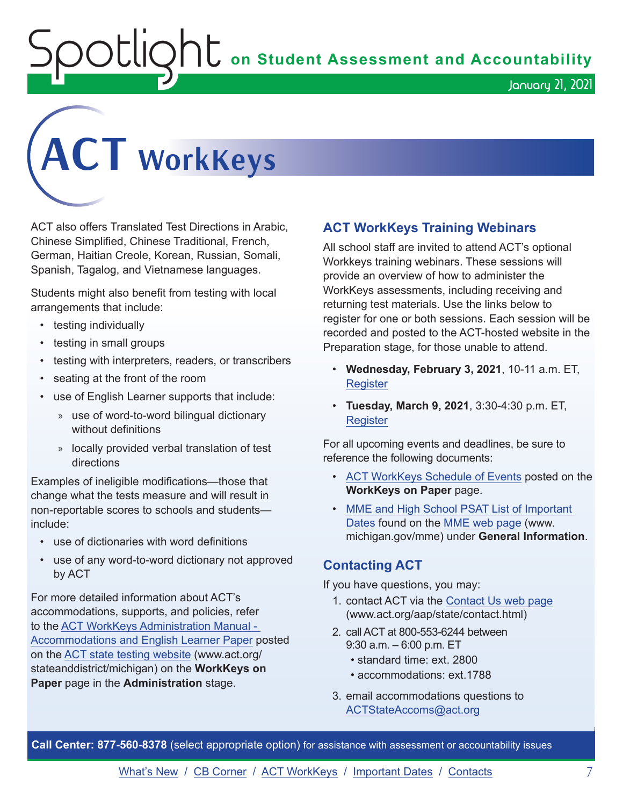OUIQhL on Student Assessment and Accountability

January 21, 2021



ACT also offers Translated Test Directions in Arabic, Chinese Simplified, Chinese Traditional, French, German, Haitian Creole, Korean, Russian, Somali, Spanish, Tagalog, and Vietnamese languages.

Students might also benefit from testing with local arrangements that include:

- testing individually
- testing in small groups
- testing with interpreters, readers, or transcribers
- seating at the front of the room
- use of English Learner supports that include:
	- » use of word-to-word bilingual dictionary without definitions
	- » locally provided verbal translation of test directions

Examples of ineligible modifications—those that change what the tests measure and will result in non-reportable scores to schools and students include:

- use of dictionaries with word definitions
- use of any word-to-word dictionary not approved by ACT

For more detailed information about ACT's accommodations, supports, and policies, refer to the [ACT WorkKeys Administration Manual -](http://www.act.org/content/dam/act/secured/documents/pdfs/WK-Admin-SD-Accoms-Secured.pdf)  [Accommodations and English Learner Paper](http://www.act.org/content/dam/act/secured/documents/pdfs/WK-Admin-SD-Accoms-Secured.pdf) posted on the [ACT state testing website](http://www.act.org/stateanddistrict/michigan) (www.act.org/ stateanddistrict/michigan) on the **WorkKeys on Paper** page in the **Administration** stage.

#### **ACT WorkKeys Training Webinars**

All school staff are invited to attend ACT's optional Workkeys training webinars. These sessions will provide an overview of how to administer the WorkKeys assessments, including receiving and returning test materials. Use the links below to register for one or both sessions. Each session will be recorded and posted to the ACT-hosted website in the Preparation stage, for those unable to attend.

- **Wednesday, February 3, 2021**, 10-11 a.m. ET, **[Register](https://event.on24.com/wcc/r/2786210/9279DAC5A1986A90716F32200C601BD8)**
- **Tuesday, March 9, 2021**, 3:30-4:30 p.m. ET, **[Register](https://event.on24.com/wcc/r/2786186/CF7F33DC4E50245260EB7C422A035629)**

For all upcoming events and deadlines, be sure to reference the following documents:

- [ACT WorkKeys Schedule of Events](https://content.act.org/michigan/reader/QvOmVKFL9Yw0c_sitVNlXA/urb67ck4C1ph7SNsFsEoaA) posted on the **WorkKeys on Paper** page.
- [MME and High School PSAT List of Important](https://www.michigan.gov/mde/0,4615,7-140-22709_35150-544814--,00.html)  [Dates](https://www.michigan.gov/mde/0,4615,7-140-22709_35150-544814--,00.html) found on the [MME web page](www.michigan.gov/mme) (www. michigan.gov/mme) under **General Information**.

#### **Contacting ACT**

If you have questions, you may:

- 1. contact ACT via the [Contact Us web page](http://www.act.org/aap/state/contact.html) ([www.act.org/aap/state/contact.html](https://www.act.org/aap/state/contact.html))
- 2. call ACT at 800-553-6244 between 9:30 a.m. – 6:00 p.m. ET
	- standard time: ext. 2800
	- accommodations: ext.1788
- 3. email accommodations questions to [ACTStateAccoms@act.org](mailto:ACTStateAccoms%40act.org?subject=)

**Call Center: 877-560-8378** (select appropriate option) for assistance with assessment or accountability issues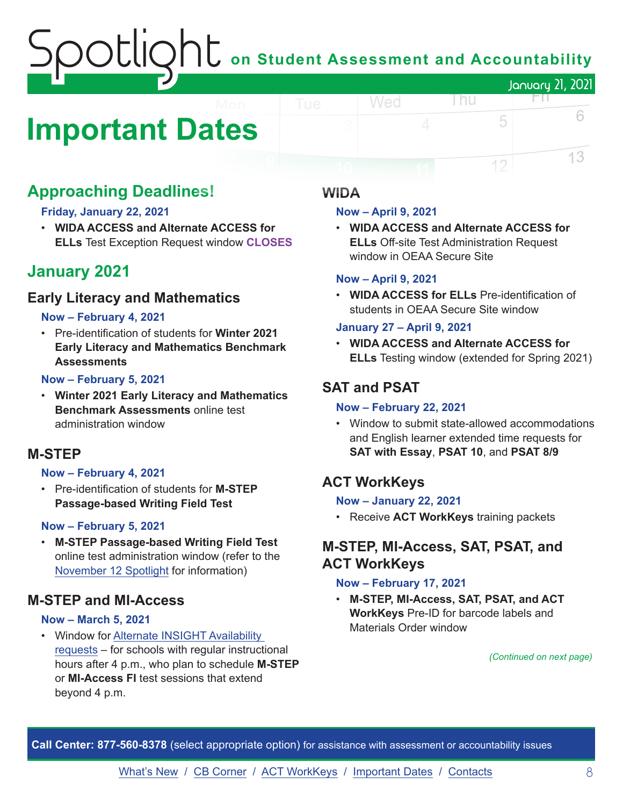## **J U** on Student Assessment and Accountability January 21, 2021

## <span id="page-7-0"></span>**Important Dates**

#### **Approaching Deadlines!**

#### **Friday, January 22, 2021**

• **WIDA ACCESS and Alternate ACCESS for ELLs** Test Exception Request window **CLOSES**

#### **January 2021**

#### **Early Literacy and Mathematics**

#### **Now – February 4, 2021**

• Pre-identification of students for **Winter 2021 Early Literacy and Mathematics Benchmark Assessments**

#### **Now – February 5, 2021**

• **Winter 2021 Early Literacy and Mathematics Benchmark Assessments** online test administration window

#### **M-STEP**

#### **Now – February 4, 2021**

• Pre-identification of students for **M-STEP Passage-based Writing Field Test**

#### **Now – February 5, 2021**

• **M-STEP Passage-based Writing Field Test** online test administration window (refer to the [November 12 Spotlight](https://www.michigan.gov/documents/mde/Spotlight_11-12-20_707634_7.pdf) for information)

#### **M-STEP and MI-Access**

#### **Now – March 5, 2021**

• Window for [Alternate INSIGHT Availability](https://www.surveymonkey.com/r/INSIGHTAvailabilityRequest)  [requests](https://www.surveymonkey.com/r/INSIGHTAvailabilityRequest) – for schools with regular instructional hours after 4 p.m., who plan to schedule **M-STEP** or **MI-Access FI** test sessions that extend beyond 4 p.m.

#### **WIDA**

#### **Now – April 9, 2021**

Wed

• **WIDA ACCESS and Alternate ACCESS for ELLs** Off-site Test Administration Request window in OEAA Secure Site

l nu

#### **Now – April 9, 2021**

• **WIDA ACCESS for ELLs** Pre-identification of students in OEAA Secure Site window

#### **January 27 – April 9, 2021**

• **WIDA ACCESS and Alternate ACCESS for ELLs** Testing window (extended for Spring 2021)

#### **SAT and PSAT**

#### **Now – February 22, 2021**

• Window to submit state-allowed accommodations and English learner extended time requests for **SAT with Essay**, **PSAT 10**, and **PSAT 8/9**

#### **ACT WorkKeys**

#### **Now – January 22, 2021**

• Receive **ACT WorkKeys** training packets

#### **M-STEP, MI-Access, SAT, PSAT, and ACT WorkKeys**

#### **Now – February 17, 2021**

• **M-STEP, MI-Access, SAT, PSAT, and ACT WorkKeys** Pre-ID for barcode labels and Materials Order window

*(Continued on next page)*

FП.

5

12

6

13

**Call Center: 877-560-8378** (select appropriate option) for assistance with assessment or accountability issues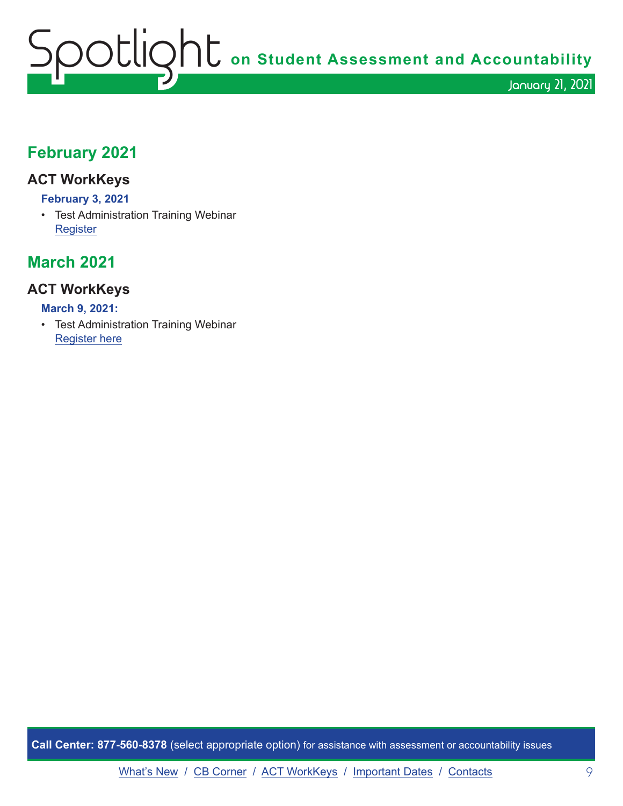## Spotlight **on Student Assessment and Accountability** January 21, 2021

#### **February 2021**

#### **ACT WorkKeys**

#### **February 3, 2021**

• Test Administration Training Webinar **[Register](https://event.on24.com/wcc/r/2786210/9279DAC5A1986A90716F32200C601BD8)** 

#### **March 2021**

#### **ACT WorkKeys**

#### **March 9, 2021:**

• Test Administration Training Webinar [Register here](https://event.on24.com/wcc/r/2786186/CF7F33DC4E50245260EB7C422A035629)

**Call Center: 877-560-8378** (select appropriate option) for assistance with assessment or accountability issues